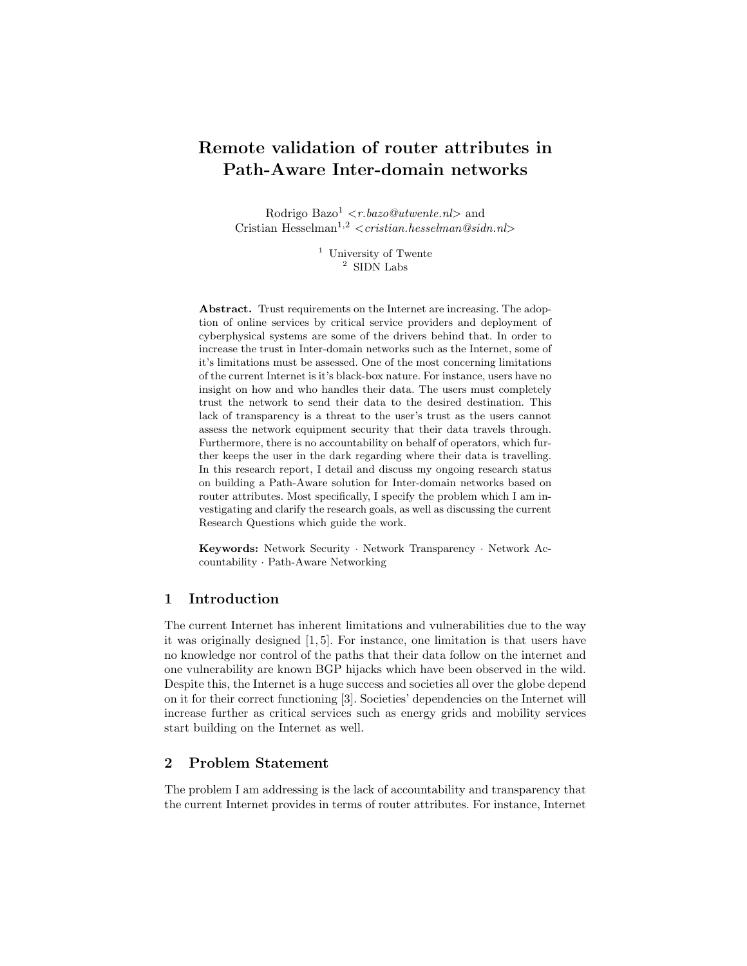# Remote validation of router attributes in Path-Aware Inter-domain networks

Rodrigo Bazo<sup>1</sup> < r.bazo@utwente.nl> and Cristian Hesselman<sup>1,2</sup> <cristian.hesselman@sidn.nl>

> <sup>1</sup> University of Twente  $^{\rm 2}$  SIDN Labs

Abstract. Trust requirements on the Internet are increasing. The adoption of online services by critical service providers and deployment of cyberphysical systems are some of the drivers behind that. In order to increase the trust in Inter-domain networks such as the Internet, some of it's limitations must be assessed. One of the most concerning limitations of the current Internet is it's black-box nature. For instance, users have no insight on how and who handles their data. The users must completely trust the network to send their data to the desired destination. This lack of transparency is a threat to the user's trust as the users cannot assess the network equipment security that their data travels through. Furthermore, there is no accountability on behalf of operators, which further keeps the user in the dark regarding where their data is travelling. In this research report, I detail and discuss my ongoing research status on building a Path-Aware solution for Inter-domain networks based on router attributes. Most specifically, I specify the problem which I am investigating and clarify the research goals, as well as discussing the current Research Questions which guide the work.

Keywords: Network Security · Network Transparency · Network Accountability · Path-Aware Networking

#### 1 Introduction

The current Internet has inherent limitations and vulnerabilities due to the way it was originally designed [1, 5]. For instance, one limitation is that users have no knowledge nor control of the paths that their data follow on the internet and one vulnerability are known BGP hijacks which have been observed in the wild. Despite this, the Internet is a huge success and societies all over the globe depend on it for their correct functioning [3]. Societies' dependencies on the Internet will increase further as critical services such as energy grids and mobility services start building on the Internet as well.

### 2 Problem Statement

The problem I am addressing is the lack of accountability and transparency that the current Internet provides in terms of router attributes. For instance, Internet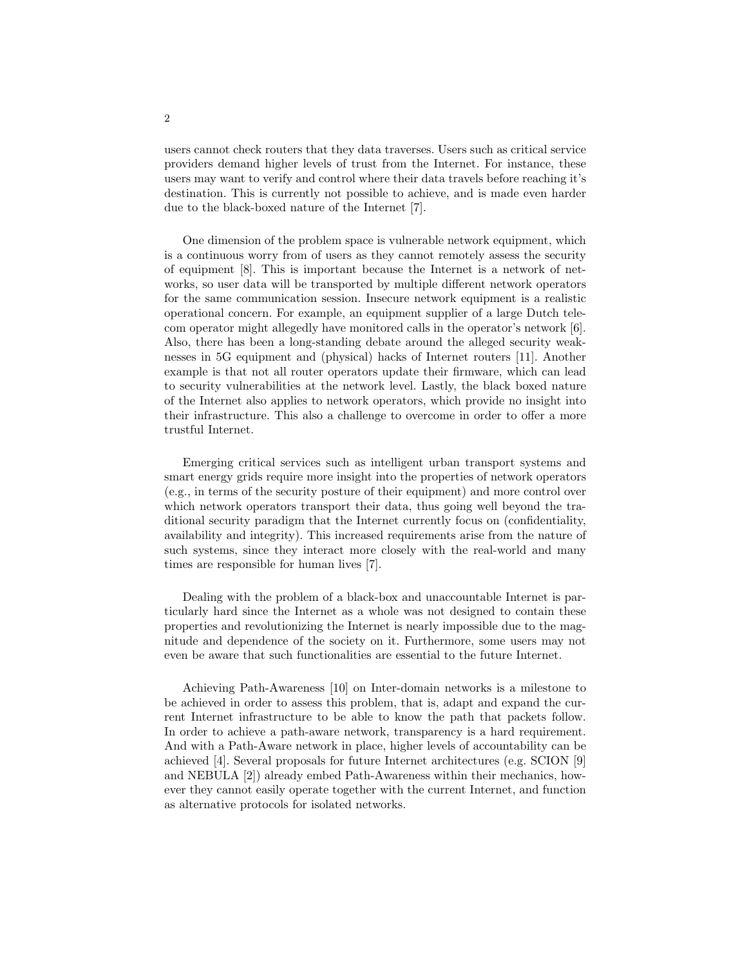users cannot check routers that they data traverses. Users such as critical service providers demand higher levels of trust from the Internet. For instance, these users may want to verify and control where their data travels before reaching it's destination. This is currently not possible to achieve, and is made even harder due to the black-boxed nature of the Internet [7].

One dimension of the problem space is vulnerable network equipment, which is a continuous worry from of users as they cannot remotely assess the security of equipment [8]. This is important because the Internet is a network of networks, so user data will be transported by multiple different network operators for the same communication session. Insecure network equipment is a realistic operational concern. For example, an equipment supplier of a large Dutch telecom operator might allegedly have monitored calls in the operator's network [6]. Also, there has been a long-standing debate around the alleged security weaknesses in 5G equipment and (physical) hacks of Internet routers [11]. Another example is that not all router operators update their firmware, which can lead to security vulnerabilities at the network level. Lastly, the black boxed nature of the Internet also applies to network operators, which provide no insight into their infrastructure. This also a challenge to overcome in order to offer a more trustful Internet.

Emerging critical services such as intelligent urban transport systems and smart energy grids require more insight into the properties of network operators (e.g., in terms of the security posture of their equipment) and more control over which network operators transport their data, thus going well beyond the traditional security paradigm that the Internet currently focus on (confidentiality, availability and integrity). This increased requirements arise from the nature of such systems, since they interact more closely with the real-world and many times are responsible for human lives [7].

Dealing with the problem of a black-box and unaccountable Internet is particularly hard since the Internet as a whole was not designed to contain these properties and revolutionizing the Internet is nearly impossible due to the magnitude and dependence of the society on it. Furthermore, some users may not even be aware that such functionalities are essential to the future Internet.

Achieving Path-Awareness [10] on Inter-domain networks is a milestone to be achieved in order to assess this problem, that is, adapt and expand the current Internet infrastructure to be able to know the path that packets follow. In order to achieve a path-aware network, transparency is a hard requirement. And with a Path-Aware network in place, higher levels of accountability can be achieved [4]. Several proposals for future Internet architectures (e.g. SCION [9] and NEBULA [2]) already embed Path-Awareness within their mechanics, however they cannot easily operate together with the current Internet, and function as alternative protocols for isolated networks.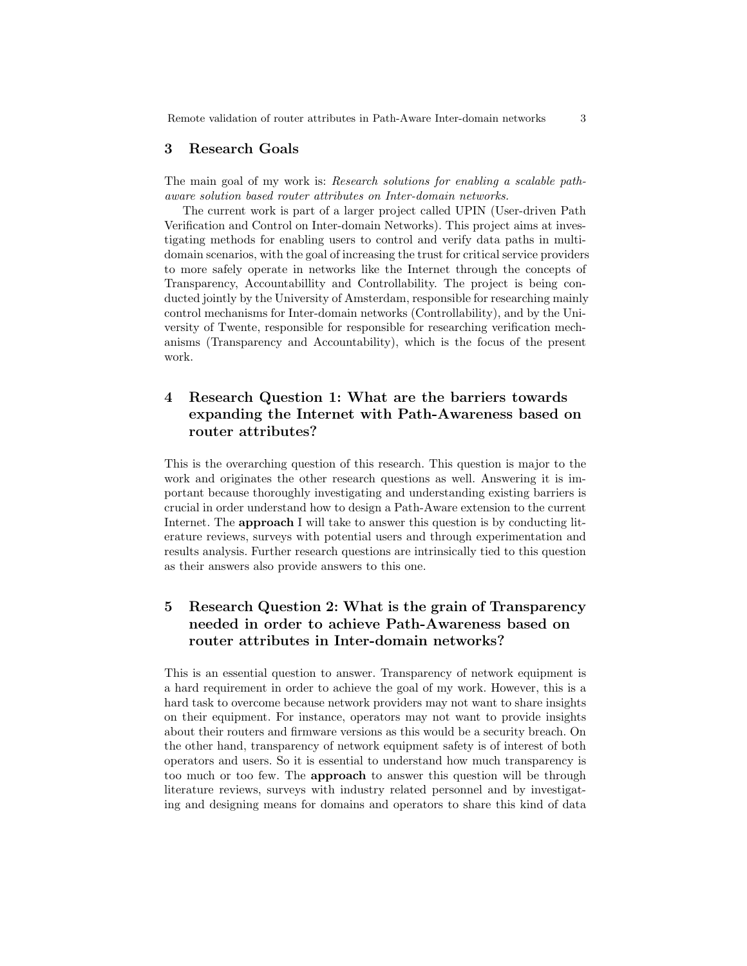Remote validation of router attributes in Path-Aware Inter-domain networks 3

#### 3 Research Goals

The main goal of my work is: Research solutions for enabling a scalable pathaware solution based router attributes on Inter-domain networks.

The current work is part of a larger project called UPIN (User-driven Path Verification and Control on Inter-domain Networks). This project aims at investigating methods for enabling users to control and verify data paths in multidomain scenarios, with the goal of increasing the trust for critical service providers to more safely operate in networks like the Internet through the concepts of Transparency, Accountabillity and Controllability. The project is being conducted jointly by the University of Amsterdam, responsible for researching mainly control mechanisms for Inter-domain networks (Controllability), and by the University of Twente, responsible for responsible for researching verification mechanisms (Transparency and Accountability), which is the focus of the present work.

### 4 Research Question 1: What are the barriers towards expanding the Internet with Path-Awareness based on router attributes?

This is the overarching question of this research. This question is major to the work and originates the other research questions as well. Answering it is important because thoroughly investigating and understanding existing barriers is crucial in order understand how to design a Path-Aware extension to the current Internet. The **approach** I will take to answer this question is by conducting literature reviews, surveys with potential users and through experimentation and results analysis. Further research questions are intrinsically tied to this question as their answers also provide answers to this one.

# 5 Research Question 2: What is the grain of Transparency needed in order to achieve Path-Awareness based on router attributes in Inter-domain networks?

This is an essential question to answer. Transparency of network equipment is a hard requirement in order to achieve the goal of my work. However, this is a hard task to overcome because network providers may not want to share insights on their equipment. For instance, operators may not want to provide insights about their routers and firmware versions as this would be a security breach. On the other hand, transparency of network equipment safety is of interest of both operators and users. So it is essential to understand how much transparency is too much or too few. The approach to answer this question will be through literature reviews, surveys with industry related personnel and by investigating and designing means for domains and operators to share this kind of data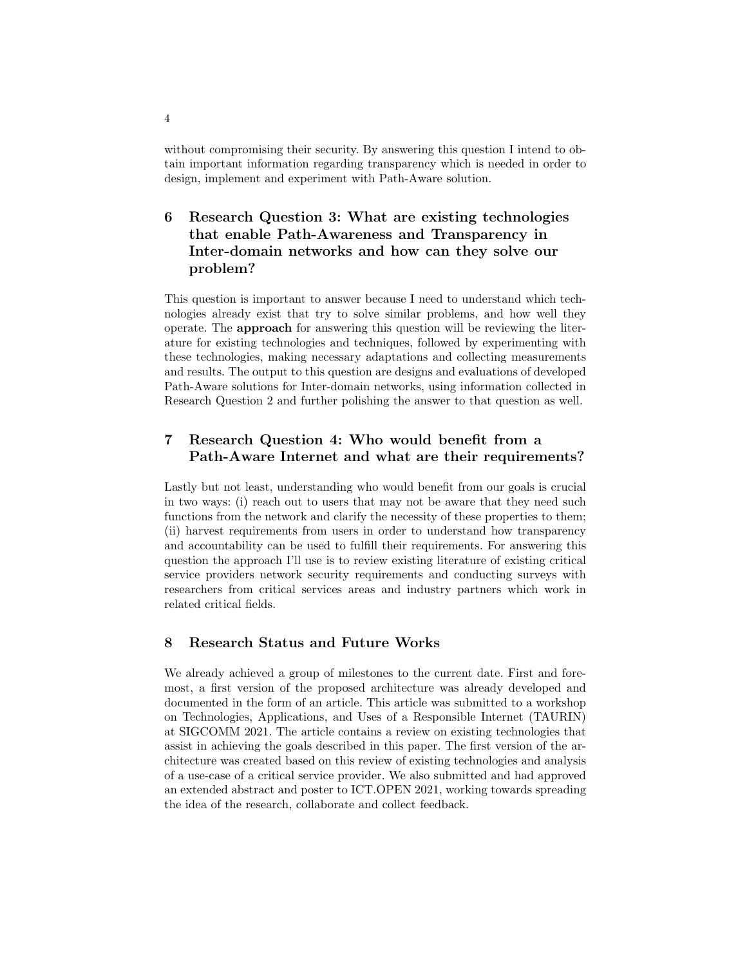without compromising their security. By answering this question I intend to obtain important information regarding transparency which is needed in order to design, implement and experiment with Path-Aware solution.

# 6 Research Question 3: What are existing technologies that enable Path-Awareness and Transparency in Inter-domain networks and how can they solve our problem?

This question is important to answer because I need to understand which technologies already exist that try to solve similar problems, and how well they operate. The approach for answering this question will be reviewing the literature for existing technologies and techniques, followed by experimenting with these technologies, making necessary adaptations and collecting measurements and results. The output to this question are designs and evaluations of developed Path-Aware solutions for Inter-domain networks, using information collected in Research Question 2 and further polishing the answer to that question as well.

### 7 Research Question 4: Who would benefit from a Path-Aware Internet and what are their requirements?

Lastly but not least, understanding who would benefit from our goals is crucial in two ways: (i) reach out to users that may not be aware that they need such functions from the network and clarify the necessity of these properties to them; (ii) harvest requirements from users in order to understand how transparency and accountability can be used to fulfill their requirements. For answering this question the approach I'll use is to review existing literature of existing critical service providers network security requirements and conducting surveys with researchers from critical services areas and industry partners which work in related critical fields.

### 8 Research Status and Future Works

We already achieved a group of milestones to the current date. First and foremost, a first version of the proposed architecture was already developed and documented in the form of an article. This article was submitted to a workshop on Technologies, Applications, and Uses of a Responsible Internet (TAURIN) at SIGCOMM 2021. The article contains a review on existing technologies that assist in achieving the goals described in this paper. The first version of the architecture was created based on this review of existing technologies and analysis of a use-case of a critical service provider. We also submitted and had approved an extended abstract and poster to ICT.OPEN 2021, working towards spreading the idea of the research, collaborate and collect feedback.